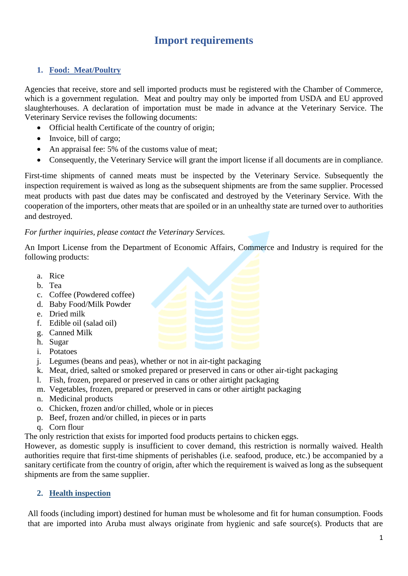# **Import requirements**

### **1. Food: Meat/Poultry**

Agencies that receive, store and sell imported products must be registered with the Chamber of Commerce, which is a government regulation. Meat and poultry may only be imported from USDA and EU approved slaughterhouses. A declaration of importation must be made in advance at the Veterinary Service. The Veterinary Service revises the following documents:

- Official health Certificate of the country of origin;
- Invoice, bill of cargo;
- An appraisal fee: 5% of the customs value of meat;
- Consequently, the Veterinary Service will grant the import license if all documents are in compliance.

First-time shipments of canned meats must be inspected by the Veterinary Service. Subsequently the inspection requirement is waived as long as the subsequent shipments are from the same supplier. Processed meat products with past due dates may be confiscated and destroyed by the Veterinary Service. With the cooperation of the importers, other meats that are spoiled or in an unhealthy state are turned over to authorities and destroyed.

#### *For further inquiries, please contact the Veterinary Services.*

An Import License from the Department of Economic Affairs, Commerce and Industry is required for the following products:

- a. Rice
- b. Tea
- c. Coffee (Powdered coffee)
- d. Baby Food/Milk Powder
- e. Dried milk
- f. Edible oil (salad oil)
- g. Canned Milk
- h. Sugar
- i. Potatoes
- j. Legumes (beans and peas), whether or not in air-tight packaging
- k. Meat, dried, salted or smoked prepared or preserved in cans or other air-tight packaging
- l. Fish, frozen, prepared or preserved in cans or other airtight packaging
- m. Vegetables, frozen, prepared or preserved in cans or other airtight packaging
- n. Medicinal products
- o. Chicken, frozen and/or chilled, whole or in pieces
- p. Beef, frozen and/or chilled, in pieces or in parts
- q. Corn flour

The only restriction that exists for imported food products pertains to chicken eggs.

However, as domestic supply is insufficient to cover demand, this restriction is normally waived. Health authorities require that first-time shipments of perishables (i.e. seafood, produce, etc.) be accompanied by a sanitary certificate from the country of origin, after which the requirement is waived as long as the subsequent shipments are from the same supplier.

### **2. Health inspection**

All foods (including import) destined for human must be wholesome and fit for human consumption. Foods that are imported into Aruba must always originate from hygienic and safe source(s). Products that are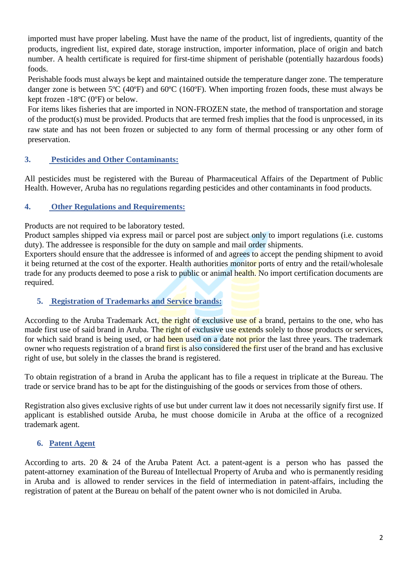imported must have proper labeling. Must have the name of the product, list of ingredients, quantity of the products, ingredient list, expired date, storage instruction, importer information, place of origin and batch number. A health certificate is required for first-time shipment of perishable (potentially hazardous foods) foods.

Perishable foods must always be kept and maintained outside the temperature danger zone. The temperature danger zone is between 5ºC (40ºF) and 60ºC (160ºF). When importing frozen foods, these must always be kept frozen -18ºC (0ºF) or below.

For items likes fisheries that are imported in NON-FROZEN state, the method of transportation and storage of the product(s) must be provided. Products that are termed fresh implies that the food is unprocessed, in its raw state and has not been frozen or subjected to any form of thermal processing or any other form of preservation.

# **3. Pesticides and Other Contaminants:**

All pesticides must be registered with the Bureau of Pharmaceutical Affairs of the Department of Public Health. However, Aruba has no regulations regarding pesticides and other contaminants in food products.

### **4. Other Regulations and Requirements:**

Products are not required to be laboratory tested.

Product samples shipped via express mail or parcel post are subject only to import regulations (i.e. customs duty). The addressee is responsible for the duty on sample and mail order shipments.

Exporters should ensure that the addressee is informed of and agrees to accept the pending shipment to avoid it being returned at the cost of the exporter. Health authorities monitor ports of entry and the retail/wholesale trade for any products deemed to pose a risk to public or animal health. No import certification documents are required.

### **5. Registration of Trademarks and Service brands:**

According to the Aruba Trademark Act, the right of exclusive use of a brand, pertains to the one, who has made first use of said brand in Aruba. The right of exclusive use extends solely to those products or services, for which said brand is being used, or had been used on a date not prior the last three years. The trademark owner who requests registration of a brand first is also considered the first user of the brand and has exclusive right of use, but solely in the classes the brand is registered.

To obtain registration of a brand in Aruba the applicant has to file a request in triplicate at the Bureau. The trade or service brand has to be apt for the distinguishing of the goods or services from those of others.

Registration also gives exclusive rights of use but under current law it does not necessarily signify first use. If applicant is established outside Aruba, he must choose domicile in Aruba at the office of a recognized trademark agent.

### **6. Patent Agent**

According to arts. 20 & 24 of the Aruba Patent Act. a patent-agent is a person who has passed the patent-attorney examination of the Bureau of Intellectual Property of Aruba and who is permanently residing in Aruba and is allowed to render services in the field of intermediation in patent-affairs, including the registration of patent at the Bureau on behalf of the patent owner who is not domiciled in Aruba.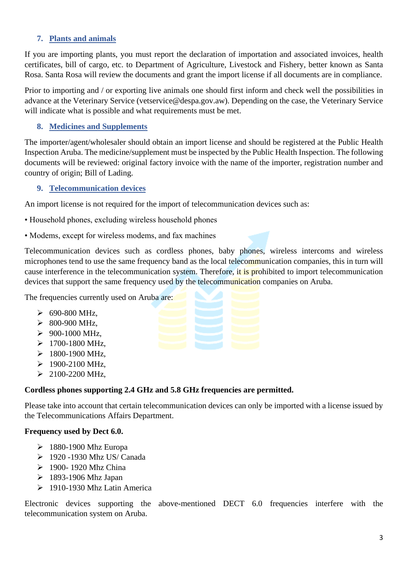#### **7. Plants and animals**

If you are importing plants, you must report the declaration of importation and associated invoices, health certificates, bill of cargo, etc. to Department of Agriculture*,* Livestock and Fishery*,* better known as Santa Rosa. Santa Rosa will review the documents and grant the import license if all documents are in compliance.

Prior to importing and / or exporting live animals one should first inform and check well the possibilities in advance at the Veterinary Service (vetservice@despa.gov.aw). Depending on the case, the Veterinary Service will indicate what is possible and what requirements must be met.

#### **8. Medicines and [Supplements](https://www.google.com/search?client=firefox-b-ab&q=supplements&spell=1&sa=X&ved=0ahUKEwjcttSI3OfaAhUHuFMKHc_bBdMQkeECCCMoAA&biw=1920&bih=915)**

The importer/agent/wholesaler should obtain an import license and should be registered at the Public Health Inspection Aruba. The medicine/supplement must be inspected by the Public Health Inspection. The following documents will be reviewed: original factory invoice with the name of the importer, registration number and country of origin; Bill of Lading.

#### **9. Telecommunication devices**

An import license is not required for the import of telecommunication devices such as:

- Household phones, excluding wireless household phones
- Modems, except for wireless modems, and fax machines

Telecommunication devices such as cordless phones, baby phones, wireless intercoms and wireless microphones tend to use the same frequency band as the local telecommunication companies, this in turn will cause interference in the telecommunication system. Therefore, it is prohibited to import telecommunication devices that support the same frequency used by the telecommunication companies on Aruba.

The frequencies currently used on Aruba are:

- $\geq 690 800$  MHz,
- $\geq 800 900$  MHz,
- $\geq 900 1000 \text{ MHz}$
- $>1700-1800$  MHz,
- $>1800-1900$  MHz,
- $\geq 1900 2100$  MHz,
- $\geq 2100 2200$  MHz,

#### **Cordless phones supporting 2.4 GHz and 5.8 GHz frequencies are permitted.**

Please take into account that certain telecommunication devices can only be imported with a license issued by the Telecommunications Affairs Department.

#### **Frequency used by Dect 6.0.**

- $\geq 1880-1900$  Mhz Europa
- ➢ 1920 -1930 Mhz US/ Canada
- ➢ 1900- 1920 Mhz China
- $\geq 1893-1906$  Mhz Japan
- $\geq 1910 1930$  Mhz Latin America

Electronic devices supporting the above-mentioned DECT 6.0 frequencies interfere with the telecommunication system on Aruba.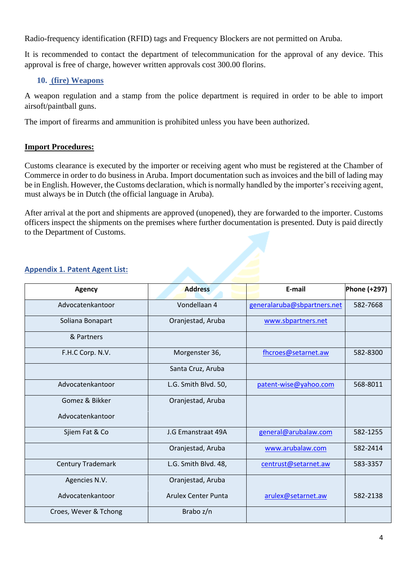Radio-frequency identification (RFID) tags and Frequency Blockers are not permitted on Aruba.

It is recommended to contact the department of telecommunication for the approval of any device. This approval is free of charge, however written approvals cost 300.00 florins.

### **10. (fire) Weapons**

A weapon regulation and a stamp from the police department is required in order to be able to import airsoft/paintball guns.

The import of firearms and ammunition is prohibited unless you have been authorized.

### **Import Procedures:**

Customs clearance is executed by the importer or receiving agent who must be registered at the Chamber of Commerce in order to do business in Aruba. Import documentation such as invoices and the bill of lading may be in English. However, the Customs declaration, which is normally handled by the importer's receiving agent, must always be in Dutch (the official language in Aruba).

After arrival at the port and shipments are approved (unopened), they are forwarded to the importer. Customs officers inspect the shipments on the premises where further documentation is presented. Duty is paid directly to the Department of Customs.

| <b>Agency</b>            | <b>Address</b>             | E-mail                      | Phone (+297) |
|--------------------------|----------------------------|-----------------------------|--------------|
| Advocatenkantoor         | Vondellaan 4               | generalaruba@sbpartners.net | 582-7668     |
| Soliana Bonapart         | Oranjestad, Aruba          | www.sbpartners.net          |              |
| & Partners               |                            |                             |              |
| F.H.C Corp. N.V.         | Morgenster 36,             | fhcroes@setarnet.aw         | 582-8300     |
|                          | Santa Cruz, Aruba          |                             |              |
| Advocatenkantoor         | L.G. Smith Blvd. 50,       | patent-wise@yahoo.com       | 568-8011     |
| Gomez & Bikker           | Oranjestad, Aruba          |                             |              |
| Advocatenkantoor         |                            |                             |              |
| Sjiem Fat & Co           | J.G Emanstraat 49A         | general@arubalaw.com        | 582-1255     |
|                          | Oranjestad, Aruba          | www.arubalaw.com            | 582-2414     |
| <b>Century Trademark</b> | L.G. Smith Blvd. 48,       | centrust@setarnet.aw        | 583-3357     |
| Agencies N.V.            | Oranjestad, Aruba          |                             |              |
| Advocatenkantoor         | <b>Arulex Center Punta</b> | arulex@setarnet.aw          | 582-2138     |
| Croes, Wever & Tchong    | Brabo z/n                  |                             |              |

### **Appendix 1. Patent Agent List:**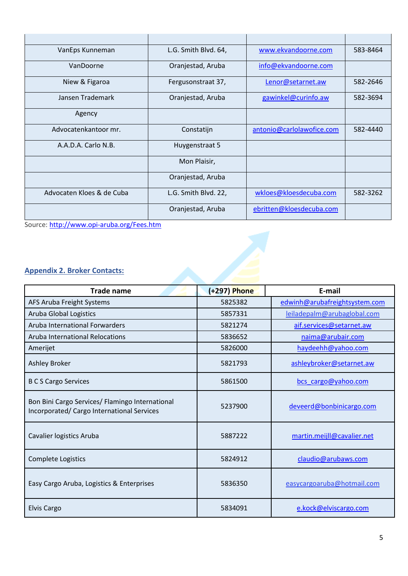| VanEps Kunneman           | L.G. Smith Blvd. 64, | www.ekvandoorne.com       | 583-8464 |
|---------------------------|----------------------|---------------------------|----------|
| VanDoorne                 | Oranjestad, Aruba    | info@ekvandoorne.com      |          |
| Niew & Figaroa            | Fergusonstraat 37,   | Lenor@setarnet.aw         | 582-2646 |
| Jansen Trademark          | Oranjestad, Aruba    | gawinkel@curinfo.aw       | 582-3694 |
| Agency                    |                      |                           |          |
| Advocatenkantoor mr.      | Constatijn           | antonio@carlolawofice.com | 582-4440 |
| A.A.D.A. Carlo N.B.       | Huygenstraat 5       |                           |          |
|                           | Mon Plaisir,         |                           |          |
|                           | Oranjestad, Aruba    |                           |          |
| Advocaten Kloes & de Cuba | L.G. Smith Blvd. 22, | wkloes@kloesdecuba.com    | 582-3262 |
|                           | Oranjestad, Aruba    | ebritten@kloesdecuba.com  |          |

Source: <http://www.opi-aruba.org/Fees.htm>

# **Appendix 2. Broker Contacts:**

| <b>Trade name</b>                                                                             | (+297) Phone | E-mail                        |
|-----------------------------------------------------------------------------------------------|--------------|-------------------------------|
| AFS Aruba Freight Systems                                                                     | 5825382      | edwinh@arubafreightsystem.com |
| <b>Aruba Global Logistics</b>                                                                 | 5857331      | leiladepalm@arubaglobal.com   |
| Aruba International Forwarders                                                                | 5821274      | aif.services@setarnet.aw      |
| Aruba International Relocations                                                               | 5836652      | naima@arubair.com             |
| Amerijet                                                                                      | 5826000      | haydeehh@yahoo.com            |
| <b>Ashley Broker</b>                                                                          | 5821793      | ashleybroker@setarnet.aw      |
| <b>B C S Cargo Services</b>                                                                   | 5861500      | bcs cargo@yahoo.com           |
| Bon Bini Cargo Services/ Flamingo International<br>Incorporated/ Cargo International Services | 5237900      | deveerd@bonbinicargo.com      |
| Cavalier logistics Aruba                                                                      | 5887222      | martin.meijll@cavalier.net    |
| Complete Logistics                                                                            | 5824912      | claudio@arubaws.com           |
| Easy Cargo Aruba, Logistics & Enterprises                                                     | 5836350      | easycargoaruba@hotmail.com    |
| <b>Elvis Cargo</b>                                                                            | 5834091      | e.kock@elviscargo.com         |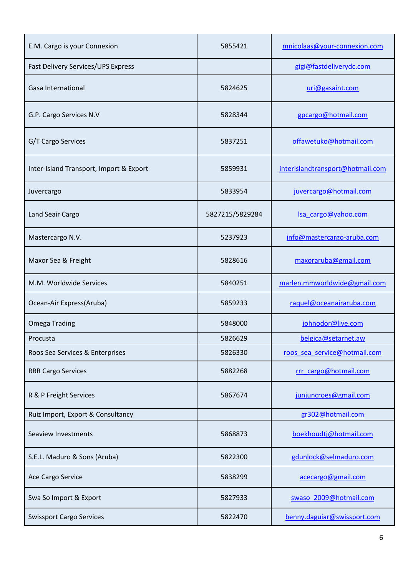| E.M. Cargo is your Connexion            | 5855421         | mnicolaas@your-connexion.com     |
|-----------------------------------------|-----------------|----------------------------------|
| Fast Delivery Services/UPS Express      |                 | gigi@fastdeliverydc.com          |
| Gasa International                      | 5824625         | uri@gasaint.com                  |
| G.P. Cargo Services N.V                 | 5828344         | gpcargo@hotmail.com              |
| G/T Cargo Services                      | 5837251         | offawetuko@hotmail.com           |
| Inter-Island Transport, Import & Export | 5859931         | interislandtransport@hotmail.com |
| Juvercargo                              | 5833954         | juvercargo@hotmail.com           |
| Land Seair Cargo                        | 5827215/5829284 | Isa cargo@yahoo.com              |
| Mastercargo N.V.                        | 5237923         | info@mastercargo-aruba.com       |
| Maxor Sea & Freight                     | 5828616         | maxoraruba@gmail.com             |
| M.M. Worldwide Services                 | 5840251         | marlen.mmworldwide@gmail.com     |
| Ocean-Air Express(Aruba)                | 5859233         | raquel@oceanairaruba.com         |
| <b>Omega Trading</b>                    | 5848000         | johnodor@live.com                |
| Procusta                                | 5826629         | belgica@setarnet.aw              |
| Roos Sea Services & Enterprises         | 5826330         | roos sea service@hotmail.com     |
| <b>RRR Cargo Services</b>               | 5882268         | rrr cargo@hotmail.com            |
| R & P Freight Services                  | 5867674         | junjuncroes@gmail.com            |
| Ruiz Import, Export & Consultancy       |                 | gr302@hotmail.com                |
| Seaview Investments                     | 5868873         | boekhoudtj@hotmail.com           |
| S.E.L. Maduro & Sons (Aruba)            | 5822300         | gdunlock@selmaduro.com           |
| Ace Cargo Service                       | 5838299         | acecargo@gmail.com               |
| Swa So Import & Export                  | 5827933         | swaso 2009@hotmail.com           |
| <b>Swissport Cargo Services</b>         | 5822470         | benny.daguiar@swissport.com      |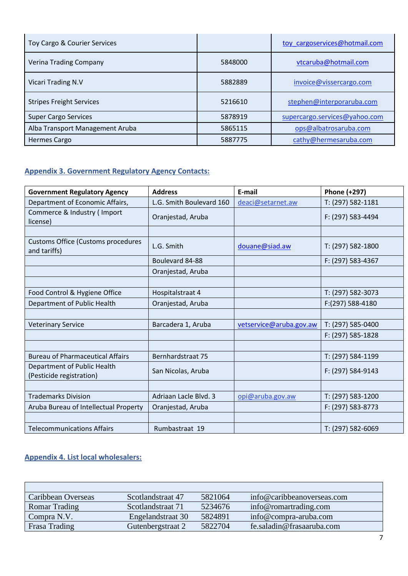| Toy Cargo & Courier Services    |         | toy cargoservices@hotmail.com |
|---------------------------------|---------|-------------------------------|
| Verina Trading Company          | 5848000 | vtcaruba@hotmail.com          |
| Vicari Trading N.V              | 5882889 | invoice@vissercargo.com       |
| <b>Stripes Freight Services</b> | 5216610 | stephen@interporaruba.com     |
| <b>Super Cargo Services</b>     | 5878919 | supercargo.services@yahoo.com |
| Alba Transport Management Aruba | 5865115 | ops@albatrosaruba.com         |
| <b>Hermes Cargo</b>             | 5887775 | cathy@hermesaruba.com         |

# **Appendix 3. Government Regulatory Agency Contacts:**

| <b>Government Regulatory Agency</b>                     | <b>Address</b>           | E-mail                  | Phone (+297)      |
|---------------------------------------------------------|--------------------------|-------------------------|-------------------|
| Department of Economic Affairs,                         | L.G. Smith Boulevard 160 | deaci@setarnet.aw       | T: (297) 582-1181 |
| Commerce & Industry (Import<br>license)                 | Oranjestad, Aruba        |                         | F: (297) 583-4494 |
|                                                         |                          |                         |                   |
| Customs Office (Customs procedures<br>and tariffs)      | L.G. Smith               | douane@siad.aw          | T: (297) 582-1800 |
|                                                         | Boulevard 84-88          |                         | F: (297) 583-4367 |
|                                                         | Oranjestad, Aruba        |                         |                   |
|                                                         |                          |                         |                   |
| Food Control & Hygiene Office                           | Hospitalstraat 4         |                         | T: (297) 582-3073 |
| Department of Public Health                             | Oranjestad, Aruba        |                         | F:(297) 588-4180  |
|                                                         |                          |                         |                   |
| <b>Veterinary Service</b>                               | Barcadera 1, Aruba       | vetservice@aruba.gov.aw | T: (297) 585-0400 |
|                                                         |                          |                         | F: (297) 585-1828 |
|                                                         |                          |                         |                   |
| <b>Bureau of Pharmaceutical Affairs</b>                 | Bernhardstraat 75        |                         | T: (297) 584-1199 |
| Department of Public Health<br>(Pesticide registration) | San Nicolas, Aruba       |                         | F: (297) 584-9143 |
|                                                         |                          |                         |                   |
| <b>Trademarks Division</b>                              | Adriaan Lacle Blvd. 3    | opi@aruba.gov.aw        | T: (297) 583-1200 |
| Aruba Bureau of Intellectual Property                   | Oranjestad, Aruba        |                         | F: (297) 583-8773 |
|                                                         |                          |                         |                   |
| <b>Telecommunications Affairs</b>                       | Rumbastraat 19           |                         | T: (297) 582-6069 |

# **Appendix 4. List local wholesalers:**

| Caribbean Overseas   | Scotlandstraat 47 | 5821064 | info@caribbeanoverseas.com |
|----------------------|-------------------|---------|----------------------------|
| <b>Romar Trading</b> | Scotlandstraat 71 | 5234676 | info@romartrading.com      |
| Compra N.V.          | Engelandstraat 30 | 5824891 | info@compra-aruba.com      |
| Frasa Trading        | Gutenbergstraat 2 | 5822704 | fe.saladin@frasaaruba.com  |